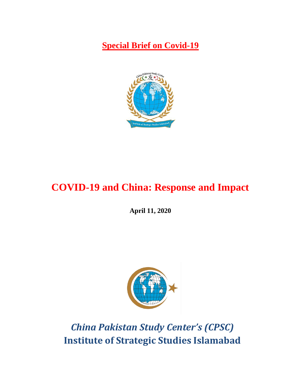**Special Brief on Covid-19**



# **COVID-19 and China: Response and Impact**

**April 11, 2020**



*China Pakistan Study Center's (CPSC)*  **Institute of Strategic Studies Islamabad**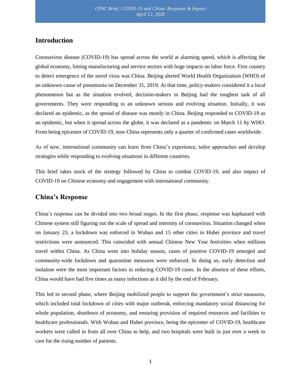## **Introduction**

Coronavirus disease (COVID-19) has spread across the world at alarming speed, which is affecting the global economy, hitting manufacturing and service sectors with huge impacts on labor force. First country to detect emergence of the novel virus was China. Beijing alerted World Health Organization (WHO) of an unknown cause of pneumonia on December 31, 2019. At that time, policy-makers considered it a local phenomenon but as the situation evolved, decision-makers in Beijing had the toughest task of all governments. They were responding to an unknown serious and evolving situation. Initially, it was declared an epidemic, as the spread of disease was mostly in China. Beijing responded to COVID-19 as an epidemic, but when it spread across the globe, it was declared as a pandemic on March 11 by WHO. From being epicenter of COVID-19, now China represents only a quarter of confirmed cases worldwide.

As of now, international community can learn from China's experience, tailor approaches and develop strategies while responding to evolving situations in different countries.

This brief takes stock of the strategy followed by China to combat COVID-19, and also impact of COVID-19 on Chinese economy and engagement with international community.

#### **China's Response**

China's response can be divided into two broad stages. In the first phase, response was haphazard with Chinese system still figuring out the scale of spread and intensity of coronavirus. Situation changed when on January 23, a lockdown was enforced in Wuhan and 15 other cities in Hubei province and travel restrictions were announced. This coincided with annual Chinese New Year festivities when millions travel within China. As China went into holiday season, cases of positive COVID-19 emerged and community-wide lockdown and quarantine measures were enforced. In doing so, early detection and isolation were the most important factors in reducing COVID-19 cases. In the absence of these efforts, China would have had five times as many infections as it did by the end of February.

This led to second phase, where Beijing mobilized people to support the government's strict measures, which included total lockdown of cities with major outbreak, enforcing mandatory social distancing for whole population, shutdown of economy, and ensuring provision of required resources and facilities to healthcare professionals. With Wuhan and Hubei province, being the epicenter of COVID-19, healthcare workers were called in from all over China to help, and two hospitals were built in just over a week to care for the rising number of patients.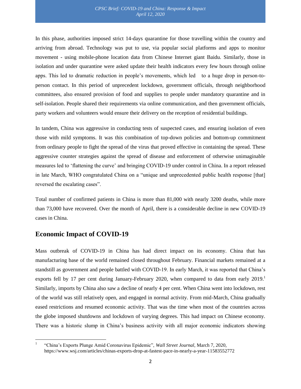In this phase, authorities imposed strict 14-days quarantine for those travelling within the country and arriving from abroad. Technology was put to use, via popular social platforms and apps to monitor movement - using mobile-phone location data from Chinese Internet giant Baidu. Similarly, those in isolation and under quarantine were asked update their health indicators every few hours through online apps. This led to dramatic reduction in people's movements, which led to a huge drop in person-toperson contact. In this period of unprecedent lockdown, government officials, through neighborhood committees, also ensured provision of food and supplies to people under mandatory quarantine and in self-isolation. People shared their requirements via online communication, and then government officials, party workers and volunteers would ensure their delivery on the reception of residential buildings.

In tandem, China was aggressive in conducting tests of suspected cases, and ensuring isolation of even those with mild symptoms. It was this combination of top-down policies and bottom-up commitment from ordinary people to fight the spread of the virus that proved effective in containing the spread. These aggressive counter strategies against the spread of disease and enforcement of otherwise unimaginable measures led to 'flattening the curve' and bringing COVID-19 under control in China. In a report released in late March, WHO congratulated China on a "unique and unprecedented public health response [that] reversed the escalating cases".

Total number of confirmed patients in China is more than 81,000 with nearly 3200 deaths, while more than 73,000 have recovered. Over the month of April, there is a considerable decline in new COVID-19 cases in China.

## **Economic Impact of COVID-19**

Mass outbreak of COVID-19 in China has had direct impact on its economy. China that has manufacturing base of the world remained closed throughout February. Financial markets remained at a standstill as government and people battled with COVID-19. In early March, it was reported that China's exports fell by 17 per cent during January-February 2020, when compared to data from early  $2019<sup>1</sup>$ Similarly, imports by China also saw a decline of nearly 4 per cent. When China went into lockdown, rest of the world was still relatively open, and engaged in normal activity. From mid-March, China gradually eased restrictions and resumed economic activity. That was the time when most of the countries across the globe imposed shutdowns and lockdown of varying degrees. This had impact on Chinese economy. There was a historic slump in China's business activity with all major economic indicators showing

 $\overline{\phantom{a}}$ 1 "China's Exports Plunge Amid Coronavirus Epidemic", *Wall Street Journal,* March 7, 2020, <https://www.wsj.com/articles/chinas-exports-drop-at-fastest-pace-in-nearly-a-year-11583552772>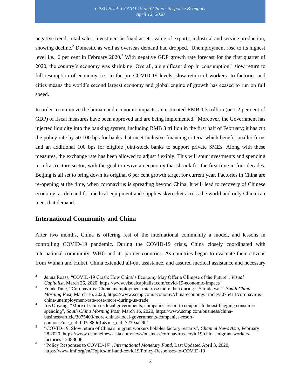negative trend; retail sales, investment in fixed assets, value of exports, industrial and service production, showing decline.<sup>2</sup> Domestic as well as overseas demand had dropped. Unemployment rose to its highest level i.e., 6 per cent in February 2020.<sup>3</sup> With negative GDP growth rate forecast for the first quarter of 2020, the country's economy was shrinking. Overall, a significant drop in consumption,<sup>4</sup> slow return to full-resumption of economy i.e., to the pre-COVID-19 levels, slow return of workers<sup>5</sup> to factories and cities means the world's second largest economy and global engine of growth has ceased to run on full speed.

In order to minimize the human and economic impacts, an estimated RMB 1.3 trillion (or 1.2 per cent of GDP) of fiscal measures have been approved and are being implemented.<sup>6</sup> Moreover, the Government has injected liquidity into the banking system, including RMB 3 trillion in the first half of February; it has cut the policy rate by 50-100 bps for banks that meet inclusive financing criteria which benefit smaller firms and an additional 100 bps for eligible joint-stock banks to support private SMEs. Along with these measures, the exchange rate has been allowed to adjust flexibly. This will spur investments and spending in infrastructure sector, with the goal to revive an economy that shrunk for the first time in four decades. Beijing is all set to bring down its original 6 per cent growth target for current year. Factories in China are re-opening at the time, when coronavirus is spreading beyond China. It will lead to recovery of Chinese economy, as demand for medical equipment and supplies skyrocket across the world and only China can meet that demand.

#### **International Community and China**

After two months, China is offering rest of the international community a model, and lessons in controlling COVID-19 pandemic. During the COVID-19 crisis, China closely coordinated with international community, WHO and its partner countries. As countries began to evacuate their citizens from Wuhan and Hubei, China extended all-out assistance, and assured medical assistance and necessary

 $\frac{1}{2}$ Jenna Roass, "COVID-19 Crash: How China's Economy May Offer a Glimpse of the Future", *Visual Capitalist,* March 26, 2020,<https://www.visualcapitalist.com/covid-19-economic-impact/>

<sup>3</sup> Frank Tang, "Coronavirus: China unemployment rate rose more than during US trade war", *South China Morning Post,* March 16, 2020, [https://www.scmp.com/economy/china-economy/article/3075411/coronavirus](https://www.scmp.com/economy/china-economy/article/3075411/coronavirus-china-unemployment-rate-rose-more-during-us-trade)[china-unemployment-rate-rose-more-during-us-trade](https://www.scmp.com/economy/china-economy/article/3075411/coronavirus-china-unemployment-rate-rose-more-during-us-trade)

<sup>4</sup> Iris Ouyang, "More of China's local governments, companies resort to coupons to boost flagging consumer spending", *South China Morning Post,* March 16, 2020[, https://www.scmp.com/business/china](https://www.scmp.com/business/china-business/article/3075403/more-chinas-local-governments-companies-resort-coupons?mc_cid=0d3e889d1a&mc_eid=7239aa29b1)[business/article/3075403/more-chinas-local-governments-companies-resort](https://www.scmp.com/business/china-business/article/3075403/more-chinas-local-governments-companies-resort-coupons?mc_cid=0d3e889d1a&mc_eid=7239aa29b1)[coupons?mc\\_cid=0d3e889d1a&mc\\_eid=7239aa29b1](https://www.scmp.com/business/china-business/article/3075403/more-chinas-local-governments-companies-resort-coupons?mc_cid=0d3e889d1a&mc_eid=7239aa29b1)

<sup>5</sup> "COVID-19: Slow return of China's migrant workers hobbles factory restarts", *Channel News Asia,* February 28,2020[, https://www.channelnewsasia.com/news/business/coronavirus-covid19-china-migrant-workers](https://www.channelnewsasia.com/news/business/coronavirus-covid19-china-migrant-workers-factories-12483006)[factories-12483006](https://www.channelnewsasia.com/news/business/coronavirus-covid19-china-migrant-workers-factories-12483006)

<sup>6</sup> "Policy Responses to COVID-19", *International Monetary Fund,* Last Updated April 3, 2020, <https://www.imf.org/en/Topics/imf-and-covid19/Policy-Responses-to-COVID-19>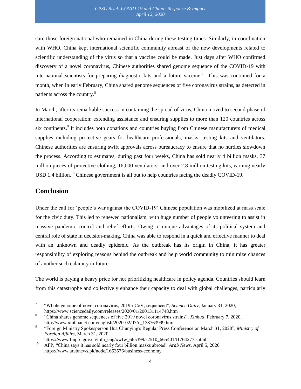care those foreign national who remained in China during these testing times. Similarly, in coordination with WHO, China kept international scientific community abreast of the new developments related to scientific understanding of the virus so that a vaccine could be made. Just days after WHO confirmed discovery of a novel coronavirus, Chinese authorities shared genome sequence of the COVID-19 with international scientists for preparing diagnostic kits and a future vaccine.<sup>7</sup> This was continued for a month, when in early February, China shared genome sequences of five coronavirus strains, as detected in patients across the country.<sup>8</sup>

In March, after its remarkable success in containing the spread of virus, China moved to second phase of international cooperation: extending assistance and ensuring supplies to more than 120 countries across six continents.<sup>9</sup> It includes both donations and countries buying from Chinese manufacturers of medical supplies including protective gears for healthcare professionals, masks, testing kits and ventilators. Chinese authorities are ensuring swift approvals across bureaucracy to ensure that no hurdles slowdown the process. According to estimates, during past four weeks, China has sold nearly 4 billion masks, 37 million pieces of protective clothing, 16,000 ventilators, and over 2.8 million testing kits, earning nearly USD 1.4 billion.<sup>10</sup> Chinese government is all out to help countries facing the deadly COVID-19.

## **Conclusion**

 $\overline{\phantom{a}}$ 

Under the call for 'people's war against the COVID-19' Chinese population was mobilized at mass scale for the civic duty. This led to renewed nationalism, with huge number of people volunteering to assist in massive pandemic control and relief efforts. Owing to unique advantages of its political system and central role of state in decision-making, China was able to respond in a quick and effective manner to deal with an unknown and deadly epidemic. As the outbreak has its origin in China, it has greater responsibility of exploring reasons behind the outbreak and help world community to minimize chances of another such calamity in future.

The world is paying a heavy price for not prioritizing healthcare in policy agenda. Countries should learn from this catastrophe and collectively enhance their capacity to deal with global challenges, particularly

<sup>7</sup> "Whole genome of novel coronavirus, 2019-nCoV, sequenced", *Science Daily,* January 31, 2020, <https://www.sciencedaily.com/releases/2020/01/200131114748.htm>

<sup>8</sup> "China shares genome sequences of five 2019 novel coronavirus strains", *Xinhua,* February 7, 2020, [http://www.xinhuanet.com/english/2020-02/07/c\\_138763999.htm](http://www.xinhuanet.com/english/2020-02/07/c_138763999.htm)

<sup>9</sup> "Foreign Ministry Spokesperson Hua Chunying's Regular Press Conference on March 31, 2020", *Ministry of Foreign Affairs,* March 31, 2020,

[https://www.fmprc.gov.cn/mfa\\_eng/xwfw\\_665399/s2510\\_665401/t1764277.shtml](https://www.fmprc.gov.cn/mfa_eng/xwfw_665399/s2510_665401/t1764277.shtml)

<sup>10</sup> AFP, "China says it has sold nearly four billion masks abroad" *Arab News,* April 5, 2020 <https://www.arabnews.pk/node/1653576/business-economy>